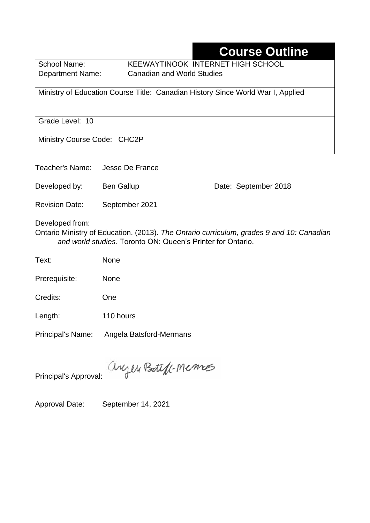## **Course Outline**

School Name: KEEWAYTINOOK INTERNET HIGH SCHOOL Department Name:Canadian and World Studies

Ministry of Education Course Title: Canadian History Since World War I, Applied

Grade Level: 10

Ministry Course Code: CHC2P

Teacher's Name: Jesse De France

Developed by: Ben Gallup Date: September 2018

Revision Date: September 2021

Developed from:

Ontario Ministry of Education. (2013). *The Ontario curriculum, grades 9 and 10: Canadian and world studies.* Toronto ON: Queen's Printer for Ontario.

| Text: | <b>None</b> |
|-------|-------------|
|       |             |

Prerequisite: None

Credits: One

Length: 110 hours

Principal's Name: Angela Batsford-Mermans

anyen Boteft-Memos

Principal's Approval:

Approval Date: September 14, 2021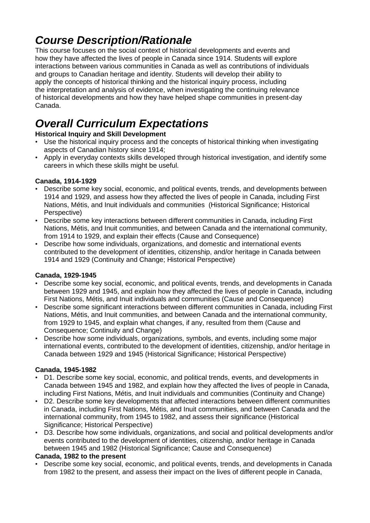## *Course Description/Rationale*

This course focuses on the social context of historical developments and events and how they have affected the lives of people in Canada since 1914. Students will explore interactions between various communities in Canada as well as contributions of individuals and groups to Canadian heritage and identity. Students will develop their ability to apply the concepts of historical thinking and the historical inquiry process, including the interpretation and analysis of evidence, when investigating the continuing relevance of historical developments and how they have helped shape communities in present-day Canada.

# *Overall Curriculum Expectations*

#### **Historical Inquiry and Skill Development**

- Use the historical inquiry process and the concepts of historical thinking when investigating aspects of Canadian history since 1914;
- Apply in everyday contexts skills developed through historical investigation, and identify some careers in which these skills might be useful.

#### **Canada, 1914-1929**

- Describe some key social, economic, and political events, trends, and developments between 1914 and 1929, and assess how they affected the lives of people in Canada, including First Nations, Métis, and Inuit individuals and communities (Historical Significance; Historical Perspective)
- Describe some key interactions between different communities in Canada, including First Nations, Métis, and Inuit communities, and between Canada and the international community, from 1914 to 1929, and explain their effects (Cause and Consequence)
- Describe how some individuals, organizations, and domestic and international events contributed to the development of identities, citizenship, and/or heritage in Canada between 1914 and 1929 (Continuity and Change; Historical Perspective)

#### **Canada, 1929-1945**

- Describe some key social, economic, and political events, trends, and developments in Canada between 1929 and 1945, and explain how they affected the lives of people in Canada, including First Nations, Métis, and Inuit individuals and communities (Cause and Consequence)
- Describe some significant interactions between different communities in Canada, including First Nations, Métis, and Inuit communities, and between Canada and the international community, from 1929 to 1945, and explain what changes, if any, resulted from them (Cause and Consequence; Continuity and Change)
- Describe how some individuals, organizations, symbols, and events, including some major international events, contributed to the development of identities, citizenship, and/or heritage in Canada between 1929 and 1945 (Historical Significance; Historical Perspective)

#### **Canada, 1945-1982**

- D1. Describe some key social, economic, and political trends, events, and developments in Canada between 1945 and 1982, and explain how they affected the lives of people in Canada, including First Nations, Métis, and Inuit individuals and communities (Continuity and Change)
- D2. Describe some key developments that affected interactions between different communities in Canada, including First Nations, Métis, and Inuit communities, and between Canada and the international community, from 1945 to 1982, and assess their significance (Historical Significance; Historical Perspective)
- D3. Describe how some individuals, organizations, and social and political developments and/or events contributed to the development of identities, citizenship, and/or heritage in Canada between 1945 and 1982 (Historical Significance; Cause and Consequence)

#### **Canada, 1982 to the present**

• Describe some key social, economic, and political events, trends, and developments in Canada from 1982 to the present, and assess their impact on the lives of different people in Canada,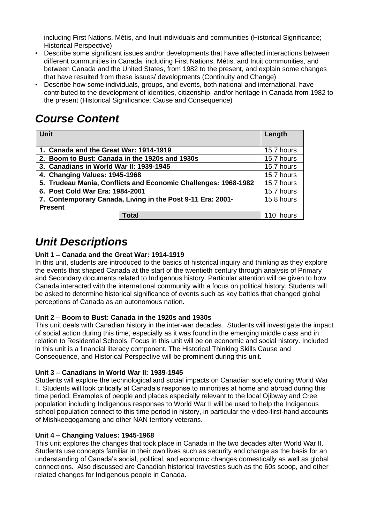including First Nations, Métis, and Inuit individuals and communities (Historical Significance; Historical Perspective)

- Describe some significant issues and/or developments that have affected interactions between different communities in Canada, including First Nations, Métis, and Inuit communities, and between Canada and the United States, from 1982 to the present, and explain some changes that have resulted from these issues/ developments (Continuity and Change)
- Describe how some individuals, groups, and events, both national and international, have contributed to the development of identities, citizenship, and/or heritage in Canada from 1982 to the present (Historical Significance; Cause and Consequence)

## *Course Content*

| <b>Unit</b>                                                    |              | Length     |
|----------------------------------------------------------------|--------------|------------|
|                                                                |              |            |
| 1. Canada and the Great War: 1914-1919                         | 15.7 hours   |            |
| 2. Boom to Bust: Canada in the 1920s and 1930s                 | 15.7 hours   |            |
| 3. Canadians in World War II: 1939-1945                        |              |            |
| 4. Changing Values: 1945-1968                                  |              |            |
| 5. Trudeau Mania, Conflicts and Economic Challenges: 1968-1982 |              |            |
| 6. Post Cold War Era: 1984-2001                                |              | 15.7 hours |
| 7. Contemporary Canada, Living in the Post 9-11 Era: 2001-     |              | 15.8 hours |
| <b>Present</b>                                                 |              |            |
|                                                                | <b>Total</b> | hours      |

### *Unit Descriptions*

#### **Unit 1 – Canada and the Great War: 1914-1919**

In this unit, students are introduced to the basics of historical inquiry and thinking as they explore the events that shaped Canada at the start of the twentieth century through analysis of Primary and Secondary documents related to Indigenous history. Particular attention will be given to how Canada interacted with the international community with a focus on political history. Students will be asked to determine historical significance of events such as key battles that changed global perceptions of Canada as an autonomous nation.

#### **Unit 2 – Boom to Bust: Canada in the 1920s and 1930s**

This unit deals with Canadian history in the inter-war decades. Students will investigate the impact of social action during this time, especially as it was found in the emerging middle class and in relation to Residential Schools. Focus in this unit will be on economic and social history. Included in this unit is a financial literacy component. The Historical Thinking Skills Cause and Consequence, and Historical Perspective will be prominent during this unit.

#### **Unit 3 – Canadians in World War II: 1939-1945**

Students will explore the technological and social impacts on Canadian society during World War II. Students will look critically at Canada's response to minorities at home and abroad during this time period. Examples of people and places especially relevant to the local Ojibway and Cree population including Indigenous responses to World War II will be used to help the Indigenous school population connect to this time period in history, in particular the video-first-hand accounts of Mishkeegogamang and other NAN territory veterans.

#### **Unit 4 – Changing Values: 1945-1968**

This unit explores the changes that took place in Canada in the two decades after World War II. Students use concepts familiar in their own lives such as security and change as the basis for an understanding of Canada's social, political, and economic changes domestically as well as global connections. Also discussed are Canadian historical travesties such as the 60s scoop, and other related changes for Indigenous people in Canada.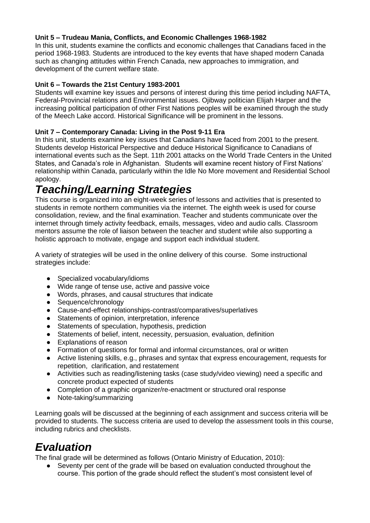#### **Unit 5 – Trudeau Mania, Conflicts, and Economic Challenges 1968-1982**

In this unit, students examine the conflicts and economic challenges that Canadians faced in the period 1968-1983. Students are introduced to the key events that have shaped modern Canada such as changing attitudes within French Canada, new approaches to immigration, and development of the current welfare state.

#### **Unit 6 – Towards the 21st Century 1983-2001**

Students will examine key issues and persons of interest during this time period including NAFTA, Federal-Provincial relations and Environmental issues. Ojibway politician Elijah Harper and the increasing political participation of other First Nations peoples will be examined through the study of the Meech Lake accord. Historical Significance will be prominent in the lessons.

#### **Unit 7 – Contemporary Canada: Living in the Post 9-11 Era**

In this unit, students examine key issues that Canadians have faced from 2001 to the present. Students develop Historical Perspective and deduce Historical Significance to Canadians of international events such as the Sept. 11th 2001 attacks on the World Trade Centers in the United States, and Canada's role in Afghanistan. Students will examine recent history of First Nations' relationship within Canada, particularly within the Idle No More movement and Residential School apology.

## *Teaching/Learning Strategies*

This course is organized into an eight-week series of lessons and activities that is presented to students in remote northern communities via the internet. The eighth week is used for course consolidation, review, and the final examination. Teacher and students communicate over the internet through timely activity feedback, emails, messages, video and audio calls. Classroom mentors assume the role of liaison between the teacher and student while also supporting a holistic approach to motivate, engage and support each individual student.

A variety of strategies will be used in the online delivery of this course. Some instructional strategies include:

- Specialized vocabulary/idioms
- Wide range of tense use, active and passive voice
- Words, phrases, and causal structures that indicate<br>● Sequence/chronology
- Sequence/chronology
- Cause-and-effect relationships-contrast/comparatives/superlatives
- Statements of opinion, interpretation, inference
- Statements of speculation, hypothesis, prediction
- Statements of belief, intent, necessity, persuasion, evaluation, definition
- Explanations of reason
- Formation of questions for formal and informal circumstances, oral or written
- Active listening skills, e.g., phrases and syntax that express encouragement, requests for repetition, clarification, and restatement
- Activities such as reading/listening tasks (case study/video viewing) need a specific and concrete product expected of students
- Completion of a graphic organizer/re-enactment or structured oral response
- Note-taking/summarizing

Learning goals will be discussed at the beginning of each assignment and success criteria will be provided to students. The success criteria are used to develop the assessment tools in this course, including rubrics and checklists.

### *Evaluation*

The final grade will be determined as follows (Ontario Ministry of Education, 2010):

Seventy per cent of the grade will be based on evaluation conducted throughout the course. This portion of the grade should reflect the student's most consistent level of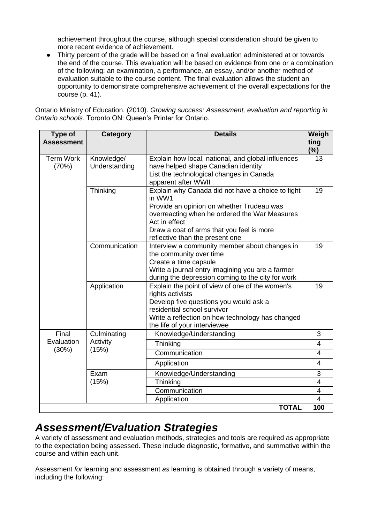achievement throughout the course, although special consideration should be given to more recent evidence of achievement.

● Thirty percent of the grade will be based on a final evaluation administered at or towards the end of the course. This evaluation will be based on evidence from one or a combination of the following: an examination, a performance, an essay, and/or another method of evaluation suitable to the course content. The final evaluation allows the student an opportunity to demonstrate comprehensive achievement of the overall expectations for the course (p. 41).

Ontario Ministry of Education. (2010). *Growing success: Assessment, evaluation and reporting in Ontario schools*. Toronto ON: Queen's Printer for Ontario.

| Type of<br><b>Assessment</b>                                       | <b>Category</b>             | <b>Details</b>                                                                                                                                                                                                                                             | Weigh<br>ting  |
|--------------------------------------------------------------------|-----------------------------|------------------------------------------------------------------------------------------------------------------------------------------------------------------------------------------------------------------------------------------------------------|----------------|
| <b>Term Work</b><br>(70%)                                          | Knowledge/<br>Understanding | Explain how local, national, and global influences<br>have helped shape Canadian identity<br>List the technological changes in Canada<br>apparent after WWII                                                                                               | $(\%)$<br>13   |
|                                                                    | Thinking                    | Explain why Canada did not have a choice to fight<br>in WW1<br>Provide an opinion on whether Trudeau was<br>overreacting when he ordered the War Measures<br>Act in effect<br>Draw a coat of arms that you feel is more<br>reflective than the present one | 19             |
|                                                                    | Communication               | Interview a community member about changes in<br>the community over time<br>Create a time capsule<br>Write a journal entry imagining you are a farmer<br>during the depression coming to the city for work                                                 | 19             |
|                                                                    | Application                 | Explain the point of view of one of the women's<br>rights activists<br>Develop five questions you would ask a<br>residential school survivor<br>Write a reflection on how technology has changed<br>the life of your interviewee                           | 19             |
| Final<br>Evaluation<br>Activity<br>(15%)<br>(30%)<br>Exam<br>(15%) | Culminating                 | Knowledge/Understanding                                                                                                                                                                                                                                    | 3              |
|                                                                    |                             | Thinking                                                                                                                                                                                                                                                   | 4              |
|                                                                    |                             | Communication                                                                                                                                                                                                                                              | 4              |
|                                                                    |                             | Application                                                                                                                                                                                                                                                | 4              |
|                                                                    |                             | Knowledge/Understanding<br>Thinking                                                                                                                                                                                                                        | 3<br>4         |
|                                                                    |                             | Communication                                                                                                                                                                                                                                              | $\overline{4}$ |
|                                                                    |                             | Application                                                                                                                                                                                                                                                | $\overline{4}$ |
|                                                                    |                             | <b>TOTAL</b>                                                                                                                                                                                                                                               | 100            |

### *Assessment/Evaluation Strategies*

A variety of assessment and evaluation methods, strategies and tools are required as appropriate to the expectation being assessed. These include diagnostic, formative, and summative within the course and within each unit.

Assessment *for* learning and assessment *as* learning is obtained through a variety of means, including the following: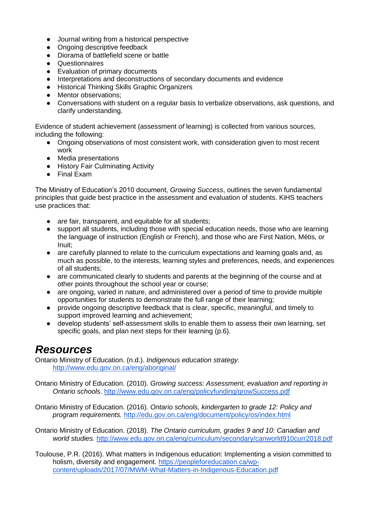- Journal writing from a historical perspective
- Ongoing descriptive feedback
- Diorama of battlefield scene or battle
- **Questionnaires**
- Evaluation of primary documents<br>● Interpretations and deconstruction
- Interpretations and deconstructions of secondary documents and evidence
- Historical Thinking Skills Graphic Organizers
- Mentor observations;
- Conversations with student on a regular basis to verbalize observations, ask questions, and clarify understanding.

Evidence of student achievement (assessment *of* learning) is collected from various sources, including the following:

- Ongoing observations of most consistent work, with consideration given to most recent work
- Media presentations
- History Fair Culminating Activity
- Final Exam

The Ministry of Education's 2010 document, *Growing Success*, outlines the seven fundamental principles that guide best practice in the assessment and evaluation of students. KiHS teachers use practices that:

- are fair, transparent, and equitable for all students;
- support all students, including those with special education needs, those who are learning the language of instruction (English or French), and those who are First Nation, Métis, or Inuit;
- are carefully planned to relate to the curriculum expectations and learning goals and, as much as possible, to the interests, learning styles and preferences, needs, and experiences of all students;
- are communicated clearly to students and parents at the beginning of the course and at other points throughout the school year or course;
- are ongoing, varied in nature, and administered over a period of time to provide multiple opportunities for students to demonstrate the full range of their learning;
- provide ongoing descriptive feedback that is clear, specific, meaningful, and timely to support improved learning and achievement;
- develop students' self-assessment skills to enable them to assess their own learning, set specific goals, and plan next steps for their learning (p.6).

### *Resources*

Ontario Ministry of Education. (n.d.). *Indigenous education strategy.* <http://www.edu.gov.on.ca/eng/aboriginal/>

Ontario Ministry of Education. (2010). *Growing success: Assessment, evaluation and reporting in Ontario schools*.<http://www.edu.gov.on.ca/eng/policyfunding/growSuccess.pdf>

Ontario Ministry of Education. (2016). *Ontario schools, kindergarten to grade 12: Policy and program requirements.* <http://edu.gov.on.ca/eng/document/policy/os/index.html>

Ontario Ministry of Education. (2018). *The Ontario curriculum, grades 9 and 10: Canadian and world studies.* <http://www.edu.gov.on.ca/eng/curriculum/secondary/canworld910curr2018.pdf>

Toulouse, P.R. (2016). What matters in Indigenous education: Implementing a vision committed to holism, diversity and engagement. [https://peopleforeducation.ca/wp](https://peopleforeducation.ca/wp-content/uploads/2017/07/MWM-What-Matters-in-Indigenous-Education.pdf)[content/uploads/2017/07/MWM-What-Matters-in-Indigenous-Education.pdf](https://peopleforeducation.ca/wp-content/uploads/2017/07/MWM-What-Matters-in-Indigenous-Education.pdf)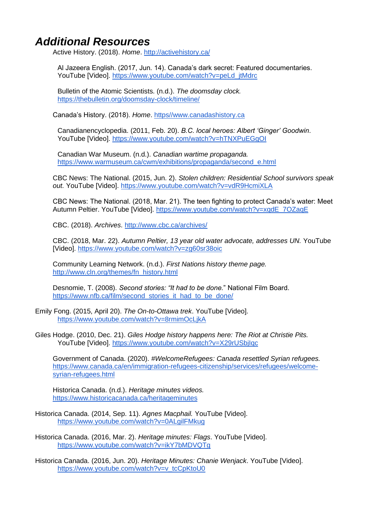### *Additional Resources*

Active History. (2018). *Home*.<http://activehistory.ca/>

Al Jazeera English. (2017, Jun. 14). Canada's dark secret: Featured documentaries. YouTube [Video]. [https://www.youtube.com/watch?v=peLd\\_jtMdrc](https://www.youtube.com/watch?v=peLd_jtMdrc)

Bulletin of the Atomic Scientists. (n.d.). *The doomsday clock.*  <https://thebulletin.org/doomsday-clock/timeline/>

Canada's History. (2018). *Home*. [https//www.canadashistory.ca](http://www.canadashistory.ca/)

Canadianencyclopedia. (2011, Feb. 20). *B.C. local heroes: Albert 'Ginger' Goodwin*. YouTube [Video].<https://www.youtube.com/watch?v=hTNXPuEGgOI>

Canadian War Museum. (n.d.). *Canadian wartime propaganda.* [https://www.warmuseum.ca/cwm/exhibitions/propaganda/second\\_e.html](https://www.warmuseum.ca/cwm/exhibitions/propaganda/second_e.html)

CBC News: The National. (2015, Jun. 2). *Stolen children: Residential School survivors speak out.* YouTube [Video].<https://www.youtube.com/watch?v=vdR9HcmiXLA>

CBC News: The National. (2018, Mar. 21). The teen fighting to protect Canada's water: Meet Autumn Peltier. YouTube [Video]. [https://www.youtube.com/watch?v=xqdE\\_7OZaqE](https://www.youtube.com/watch?v=xqdE_7OZaqE)

CBC. (2018). *Archives*.<http://www.cbc.ca/archives/>

CBC. (2018, Mar. 22). *Autumn Peltier, 13 year old water advocate, addresses UN.* YouTube [Video].<https://www.youtube.com/watch?v=zg60sr38oic>

Community Learning Network. (n.d.). *First Nations history theme page.*  [http://www.cln.org/themes/fn\\_history.html](http://www.cln.org/themes/fn_history.html)

Desnomie, T. (2008). *Second stories: "It had to be done.*" National Film Board. https://www.nfb.ca/film/second stories it had to be done/

Emily Fong. (2015, April 20). *The On-to-Ottawa trek*. YouTube [Video]. <https://www.youtube.com/watch?v=8rmimOcLjkA>

Giles Hodge. (2010, Dec. 21). *Giles Hodge history happens here: The Riot at Christie Pits.* YouTube [Video].<https://www.youtube.com/watch?v=X29rUSbjIqc>

Government of Canada. (2020). *#WelcomeRefugees: Canada resettled Syrian refugees.*  [https://www.canada.ca/en/immigration-refugees-citizenship/services/refugees/welcome](https://www.canada.ca/en/immigration-refugees-citizenship/services/refugees/welcome-syrian-refugees.html)[syrian-refugees.html](https://www.canada.ca/en/immigration-refugees-citizenship/services/refugees/welcome-syrian-refugees.html)

Historica Canada. (n.d.). *Heritage minutes videos.*  <https://www.historicacanada.ca/heritageminutes>

Historica Canada. (2014, Sep. 11). *Agnes Macphail.* YouTube [Video]. <https://www.youtube.com/watch?v=0ALgilFMkug>

Historica Canada. (2016, Mar. 2). *Heritage minutes: Flags*. YouTube [Video]. <https://www.youtube.com/watch?v=ikY7bMDVQTg>

Historica Canada. (2016, Jun. 20). *Heritage Minutes: Chanie Wenjack*. YouTube [Video]. [https://www.youtube.com/watch?v=v\\_tcCpKtoU0](https://www.youtube.com/watch?v=v_tcCpKtoU0)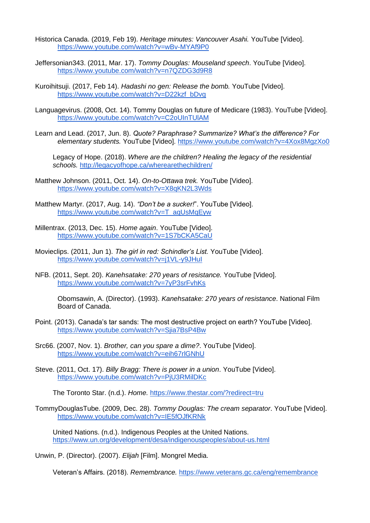Historica Canada. (2019, Feb 19). *Heritage minutes: Vancouver Asahi.* YouTube [Video]. <https://www.youtube.com/watch?v=wBv-MYAf9P0>

Jeffersonian343. (2011, Mar. 17). *Tommy Douglas: Mouseland speech*. YouTube [Video]. <https://www.youtube.com/watch?v=n7QZDG3d9R8>

Kuroihitsuji. (2017, Feb 14). *Hadashi no gen: Release the bomb.* YouTube [Video]. [https://www.youtube.com/watch?v=D22kzf\\_bDvg](https://www.youtube.com/watch?v=D22kzf_bDvg)

- Languagevirus. (2008, Oct. 14). Tommy Douglas on future of Medicare (1983). YouTube [Video]. <https://www.youtube.com/watch?v=C2oUInTUlAM>
- Learn and Lead. (2017, Jun. 8). *Quote? Paraphrase? Summarize? What's the difference? For elementary students.* YouTube [Video].<https://www.youtube.com/watch?v=4Xox8MgzXo0>

Legacy of Hope. (2018). *Where are the children? Healing the legacy of the residential schools.* <http://legacyofhope.ca/wherearethechildren/>

Matthew Johnson. (2011, Oct. 14). *On-to-Ottawa trek.* YouTube [Video]. <https://www.youtube.com/watch?v=X8qKN2L3Wds>

- Matthew Martyr. (2017, Aug. 14). *"Don't be a sucker!*". YouTube [Video]. [https://www.youtube.com/watch?v=T\\_aqUsMqEyw](https://www.youtube.com/watch?v=T_aqUsMqEyw)
- Millentrax. (2013, Dec. 15). *Home again*. YouTube [Video]. <https://www.youtube.com/watch?v=1S7bCKA5CaU>
- Movieclips. (2011, Jun 1). *The girl in red: Schindler's List.* YouTube [Video]. <https://www.youtube.com/watch?v=j1VL-y9JHuI>
- NFB. (2011, Sept. 20). *Kanehsatake: 270 years of resistance.* YouTube [Video]. <https://www.youtube.com/watch?v=7yP3srFvhKs>

Obomsawin, A. (Director). (1993). *Kanehsatake: 270 years of resistance*. National Film Board of Canada.

- Point. (2013). Canada's tar sands: The most destructive project on earth? YouTube [Video]. <https://www.youtube.com/watch?v=Sjia7BsP4Bw>
- Src66. (2007, Nov. 1). *Brother, can you spare a dime?*. YouTube [Video]. <https://www.youtube.com/watch?v=eih67rlGNhU>
- Steve. (2011, Oct. 17). *Billy Bragg: There is power in a union*. YouTube [Video]. <https://www.youtube.com/watch?v=PjU3RMilDKc>

The Toronto Star. (n.d.). *Home.* [https://www.thestar.com/?redirect=tru](https://www.thestar.com/?redirect=true)

TommyDouglasTube. (2009, Dec. 28). *Tommy Douglas: The cream separator*. YouTube [Video]. <https://www.youtube.com/watch?v=IE5fOJfKRNk>

United Nations. (n.d.). Indigenous Peoples at the United Nations. <https://www.un.org/development/desa/indigenouspeoples/about-us.html>

Unwin, P. (Director). (2007). *Elijah* [Film]. Mongrel Media.

Veteran's Affairs. (2018). *Remembrance.* <https://www.veterans.gc.ca/eng/remembrance>